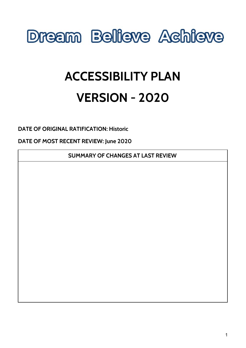

# **ACCESSIBILITY PLAN VERSION - 2020**

**DATE OF ORIGINAL RATIFICATION: Historic**

**DATE OF MOST RECENT REVIEW: June 2020**

**SUMMARY OF CHANGES AT LAST REVIEW**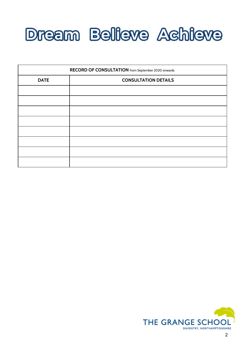

| RECORD OF CONSULTATION from September 2020 onwards |                             |  |  |  |
|----------------------------------------------------|-----------------------------|--|--|--|
| <b>DATE</b>                                        | <b>CONSULTATION DETAILS</b> |  |  |  |
|                                                    |                             |  |  |  |
|                                                    |                             |  |  |  |
|                                                    |                             |  |  |  |
|                                                    |                             |  |  |  |
|                                                    |                             |  |  |  |
|                                                    |                             |  |  |  |
|                                                    |                             |  |  |  |
|                                                    |                             |  |  |  |

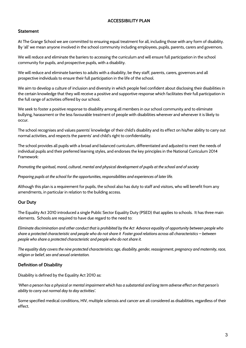### **ACCESSIBILITY PLAN**

### **Statement**

At The Grange School we are committed to ensuring equal treatment for all, including those with any form of disability. By 'all' we mean anyone involved in the school community including employees, pupils, parents, carers and governors.

We will reduce and eliminate the barriers to accessing the curriculum and will ensure full participation in the school community for pupils, and prospective pupils, with a disability.

We will reduce and eliminate barriers to adults with a disability, be they staff, parents, carers, governors and all prospective individuals to ensure their full participation in the life of the school.

We aim to develop a culture of inclusion and diversity in which people feel confident about disclosing their disabilities in the certain knowledge that they will receive a positive and supportive response which facilitates their full participation in the full range of activities offered by our school.

We seek to foster a positive response to disability among all members in our school community and to eliminate bullying, harassment or the less favourable treatment of people with disabilities wherever and whenever it is likely to occur.

The school recognises and values parents' knowledge of their child's disability and its effect on his/her ability to carry out normal activities, and respects the parents' and child's right to confidentiality.

The school provides all pupils with a broad and balanced curriculum, differentiated and adjusted to meet the needs of individual pupils and their preferred learning styles, and endorses the key principles in the National Curriculum 2014 Framework:

Promoting the spiritual, moral, cultural, mental and physical development of pupils at the school and of society

*Preparing pupils at the school for the opportunities, responsibilities and experiences of later life.*

Although this plan is a requirement for pupils, the school also has duty to staff and visitors, who will benefit from any amendments, in particular in relation to the building access.

### **Our Duty**

The Equality Act 2010 introduced a single Public Sector Equality Duty (PSED) that applies to schools. It has three main elements. Schools are required to have due regard to the need to:

Eliminate discrimination and other conduct that is prohibited by the Act Advance equality of opportunity between people who share a protected characteristic and people who do not share it Foster good relations across all characteristics – between *people who share a protected characteristic and people who do not share it.*

The equality duty covers the nine protected characteristics; age, disability, gender, reassignment, pregnancy and maternity, race, *religion or belief, sex and sexual orientation.*

### **Definition of Disability**

Disability is defined by the Equality Act 2010 as:

'When a person has a physical or mental impairment which has a substantial and long term adverse effect on that person's *ability to carry out normal day to day activities'.*

Some specified medical conditions, HIV, multiple sclerosis and cancer are all considered as disabilities, regardless of their effect.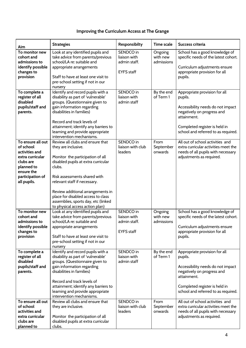## **Improving the Curriculum Access at The Grange**

|                                                                                                                                                  |                                                                                                                                                                                                                                                                                                                                | Responsibilty                                                  | Time scale                        | Success criteria                                                                                                                                                                                   |
|--------------------------------------------------------------------------------------------------------------------------------------------------|--------------------------------------------------------------------------------------------------------------------------------------------------------------------------------------------------------------------------------------------------------------------------------------------------------------------------------|----------------------------------------------------------------|-----------------------------------|----------------------------------------------------------------------------------------------------------------------------------------------------------------------------------------------------|
| Aim                                                                                                                                              | <b>Strategies</b>                                                                                                                                                                                                                                                                                                              |                                                                |                                   |                                                                                                                                                                                                    |
| To monitor new<br>cohort and<br>admissions to<br>identify possible<br>changes to<br>provision                                                    | Look at any identified pupils and<br>take advice from parents/previous<br>school/LA re: suitable and<br>appropriate arrangements<br>Staff to have at least one visit to<br>pre-school setting if not in our                                                                                                                    | SENDCO in<br>liaison with<br>admin staff.<br><b>EYFS</b> staff | Ongoing<br>with new<br>admissions | School has a good knowledge of<br>specific needs of the latest cohort.<br>Curriculum adjustments ensure<br>appropriate provision for all<br>pupils.                                                |
| To complete a<br>register of all<br>disabled<br>pupils/staff and<br>parents.                                                                     | nursery<br>Identify and record pupils with a<br>disability as part of 'vulnerable'<br>groups. (Questionnaire given to<br>gain information regarding<br>disabilities in families)<br>Record and track levels of<br>attainment; identify any barriers to<br>learning and provide appropriate<br>intervention mechanisms.         | SENDCO in<br>liaison with<br>admin staff                       | By the end<br>of Term 1           | Appropriate provision for all<br>pupils.<br>Accessibility needs do not impact<br>negatively on progress and<br>attainment.<br>Completed register is held in<br>school and referred to as required. |
| To ensure all out<br>of school<br>activities and<br>extra curricular<br>clubs are<br>planned to<br>ensure the<br>participation of<br>all pupils. | Review all clubs and ensure that<br>they are inclusive.<br>Monitor the participation of all<br>disabled pupils at extra curricular<br>clubs.<br>Risk assessments shared with<br>relevant staff if necessary.<br>Review additional arrangements in<br>place for disabled access to class<br>assemblies, sports day, etc (linked | SENDCO in<br>liaison with club<br>leaders                      | From<br>September<br>onwards      | All out of school activities and<br>extra curricular activities meet the<br>needs of all pupils with necessary<br>adjustments as required.                                                         |
| To monitor new<br>cohort and<br>admissions to<br>identify possible<br>changes to<br>provision                                                    | to physical access action plan)<br>Look at any identified pupils and<br>take advice from parents/previous<br>school/LA re: suitable and<br>appropriate arrangements<br>Staff to have at least one visit to<br>pre-school setting if not in our<br>nursery                                                                      | SENDCO in<br>liaison with<br>admin staff.<br><b>EYFS</b> staff | Ongoing<br>with new<br>admissions | School has a good knowledge of<br>specific needs of the latest cohort.<br>Curriculum adjustments ensure<br>appropriate provision for all<br>pupils.                                                |
| To complete a<br>register of all<br>disabled<br>pupils/staff and<br>parents.                                                                     | Identify and record pupils with a<br>disability as part of 'vulnerable'<br>groups. (Questionnaire given to<br>gain information regarding<br>disabilities in families)<br>Record and track levels of<br>attainment; identify any barriers to<br>learning and provide appropriate<br>intervention mechanisms.                    | SENDCO in<br>liaison with<br>admin staff                       | By the end<br>of Term 1           | Appropriate provision for all<br>pupils.<br>Accessibility needs do not impact<br>negatively on progress and<br>attainment.<br>Completed register is held in<br>school and referred to as required. |
| To ensure all out<br>of school<br>activities and<br>extra curricular<br>clubs are<br>planned to                                                  | Review all clubs and ensure that<br>they are inclusive.<br>Monitor the participation of all<br>disabled pupils at extra curricular<br>clubs.                                                                                                                                                                                   | SENDCO in<br>liaison with club<br>leaders                      | From<br>September<br>onwards      | All out of school activities and<br>extra curricular activities meet the<br>needs of all pupils with necessary<br>adjustments as required.                                                         |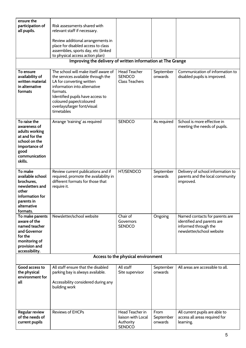| ensure the<br>participation of<br>all pupils.                                                                                          | Risk assessments shared with<br>relevant staff if necessary.                                                                                                                                                                                                    |                                                                     |                              |                                                                                                                   |
|----------------------------------------------------------------------------------------------------------------------------------------|-----------------------------------------------------------------------------------------------------------------------------------------------------------------------------------------------------------------------------------------------------------------|---------------------------------------------------------------------|------------------------------|-------------------------------------------------------------------------------------------------------------------|
|                                                                                                                                        | Review additional arrangements in<br>place for disabled access to class<br>assemblies, sports day, etc (linked                                                                                                                                                  |                                                                     |                              |                                                                                                                   |
|                                                                                                                                        | to physical access action plan)<br>Improving the delivery of written information at The Grange                                                                                                                                                                  |                                                                     |                              |                                                                                                                   |
|                                                                                                                                        |                                                                                                                                                                                                                                                                 |                                                                     |                              |                                                                                                                   |
| To ensure<br>availability of<br>written material<br>in alternative<br>formats                                                          | The school will make itself aware of<br>the services available through the<br>LA for converting written<br>information into alternative<br>formats.<br>Identified pupils have access to<br>coloured paper/coloured<br>overlays/larger font/visual<br>timetables | <b>Head Teacher</b><br><b>SENDCO</b><br><b>Class Teachers</b>       | September<br>onwards         | Communication of information to<br>disabled pupils is improved.                                                   |
| To raise the<br>awareness of<br>adults working<br>at and for the<br>school on the<br>importance of<br>good<br>communication<br>skills. | Arrange 'training' as required                                                                                                                                                                                                                                  | <b>SENDCO</b>                                                       | As required                  | School is more effective in<br>meeting the needs of pupils.                                                       |
| To make<br>available school<br>brochures,<br>newsletters and<br>other<br>information for<br>parents in<br>alternative<br>formats.      | Review current publications and if<br>required, promote the availability in<br>different formats for those that<br>require it.                                                                                                                                  | HT/SENDCO                                                           | September<br>onwards         | Delivery of school information to<br>parents and the local community<br>improved.                                 |
| To make parents<br>aware of the<br>named teacher<br>and Governor<br>for the<br>monitoring of<br>provision and<br>accessibility.        | Newsletter/school website                                                                                                                                                                                                                                       | Chair of<br>Governors<br><b>SENDCO</b>                              | Ongoing                      | Named contacts for parents are<br>identified and parents are<br>informed through the<br>newsletter/school website |
|                                                                                                                                        |                                                                                                                                                                                                                                                                 | Access to the physical environment                                  |                              |                                                                                                                   |
| Good access to<br>the physical<br>environment for<br>all                                                                               | All staff ensure that the disabled<br>parking bay is always available.<br>Accessibility considered during any<br>building work                                                                                                                                  | All staff<br>Site supervisor                                        | September<br>onwards         | All areas are accessible to all.                                                                                  |
| <b>Regular review</b><br>of the needs of<br>current pupils                                                                             | <b>Reviews of EHCPs</b>                                                                                                                                                                                                                                         | Head Teacher in<br>liaison with Local<br>Authority<br><b>SENDCO</b> | From<br>September<br>onwards | All current pupils are able to<br>access all areas required for<br>learning.                                      |